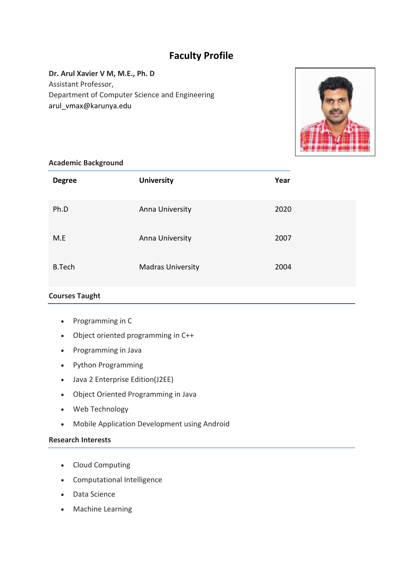## **Faculty Profile**

# **Dr. Arul Xavier V M, M.E., Ph. D** Assistant Professor,

Department of Computer Science and Engineering arul\_vmax@karunya.edu



#### **Academic Background**

| <b>Degree</b> | <b>University</b>        | Year |
|---------------|--------------------------|------|
| Ph.D          | Anna University          | 2020 |
| M.E           | Anna University          | 2007 |
| <b>B.Tech</b> | <b>Madras University</b> | 2004 |

## **Courses Taught**

- Programming in C
- Object oriented programming in C++
- Programming in Java
- Python Programming
- Java 2 Enterprise Edition(J2EE)
- Object Oriented Programming in Java
- Web Technology
- Mobile Application Development using Android

#### **Research Interests**

- Cloud Computing
- Computational Intelligence
- Data Science
- Machine Learning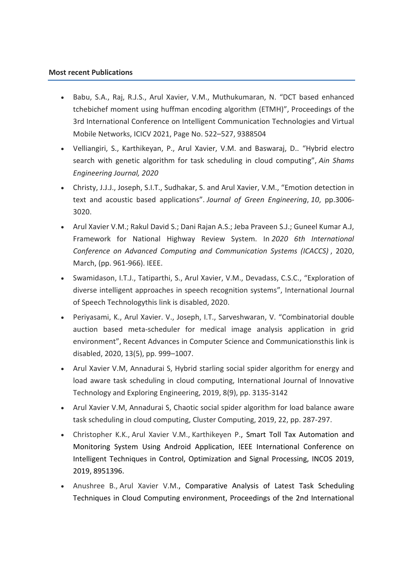#### **Most recent Publications**

- Babu, S.A., Raj, R.J.S., Arul Xavier, V.M., Muthukumaran, N. "DCT based enhanced tchebichef moment using huffman encoding algorithm (ETMH)", Proceedings of the 3rd International Conference on Intelligent Communication Technologies and Virtual Mobile Networks, ICICV 2021, Page No. 522–527, 9388504
- Velliangiri, S., Karthikeyan, P., Arul Xavier, V.M. and Baswaraj, D.. "Hybrid electro search with genetic algorithm for task scheduling in cloud computing", *Ain Shams Engineering Journal, 2020*
- Christy, J.J.J., Joseph, S.I.T., Sudhakar, S. and Arul Xavier, V.M., "Emotion detection in text and acoustic based applications". *Journal of Green Engineering*, *10*, pp.3006- 3020.
- Arul Xavier V.M.; Rakul David S.; Dani Rajan A.S.; Jeba Praveen S.J.; Guneel Kumar A.J, Framework for National Highway Review System. In *2020 6th International Conference on Advanced Computing and Communication Systems (ICACCS)* , 2020, March, (pp. 961-966). IEEE.
- Swamidason, I.T.J., Tatiparthi, S., Arul Xavier, V.M., Devadass, C.S.C., "Exploration of diverse intelligent approaches in speech recognition systems", International Journal of Speech Technologythis link is disabled, 2020.
- Periyasami, K., Arul Xavier. V., Joseph, I.T., Sarveshwaran, V. "Combinatorial double auction based meta-scheduler for medical image analysis application in grid environment", Recent Advances in Computer Science and Communicationsthis link is disabled, 2020, 13(5), pp. 999–1007.
- Arul Xavier V.M, Annadurai S, Hybrid starling social spider algorithm for energy and load aware task scheduling in cloud computing, International Journal of Innovative Technology and Exploring Engineering, 2019, 8(9), pp. 3135-3142
- Arul Xavier V.M, Annadurai S, Chaotic social spider algorithm for load balance aware task scheduling in cloud computing, Cluster Computing, 2019, 22, pp. 287-297.
- [Christopher K.K.,](https://www.scopus.com/authid/detail.uri?authorId=57215300783) [Arul Xavier V.M.,](https://www.scopus.com/authid/detail.uri?authorId=57200393527) [Karthikeyen P.,](https://www.scopus.com/authid/detail.uri?authorId=57195048976) Smart Toll Tax Automation and Monitoring System Using Android Application, IEEE International Conference on Intelligent Techniques in Control, Optimization and Signal Processing, INCOS 2019, 2019, 8951396.
- [Anushree B.,](https://www.scopus.com/authid/detail.uri?authorId=57214288206) [Arul Xavier V.M.,](https://www.scopus.com/authid/detail.uri?authorId=57200393527) Comparative Analysis of Latest Task Scheduling Techniques in Cloud Computing environment, Proceedings of the 2nd International